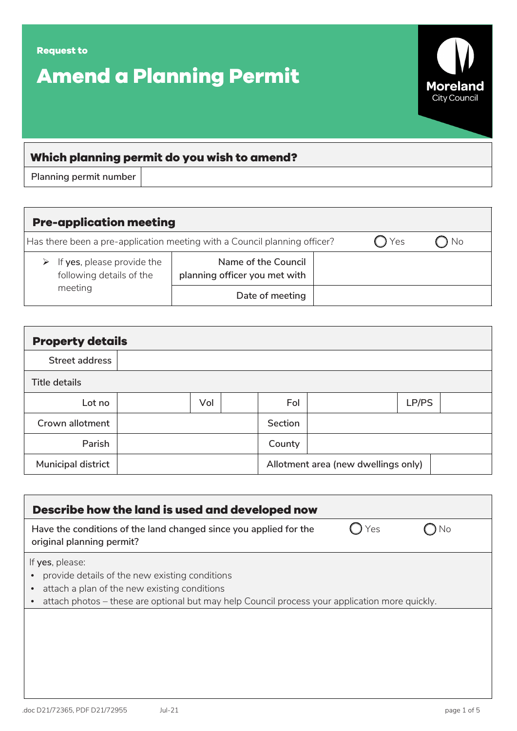

| <b>Pre-application meeting</b>                                            |                                                      |     |      |  |  |  |  |
|---------------------------------------------------------------------------|------------------------------------------------------|-----|------|--|--|--|--|
| Has there been a pre-application meeting with a Council planning officer? |                                                      | Yes | ) No |  |  |  |  |
| $\triangleright$ If yes, please provide the<br>following details of the   | Name of the Council<br>planning officer you met with |     |      |  |  |  |  |
| meeting                                                                   | Date of meeting                                      |     |      |  |  |  |  |

| <b>Property details</b> |  |     |  |                                     |  |       |  |  |
|-------------------------|--|-----|--|-------------------------------------|--|-------|--|--|
| Street address          |  |     |  |                                     |  |       |  |  |
| <b>Title details</b>    |  |     |  |                                     |  |       |  |  |
| Lot no                  |  | Vol |  | Fol                                 |  | LP/PS |  |  |
| Crown allotment         |  |     |  | Section                             |  |       |  |  |
| Parish                  |  |     |  | County                              |  |       |  |  |
| Municipal district      |  |     |  | Allotment area (new dwellings only) |  |       |  |  |

| Yes |                                                                                                |
|-----|------------------------------------------------------------------------------------------------|
|     |                                                                                                |
|     |                                                                                                |
|     |                                                                                                |
|     | attach photos - these are optional but may help Council process your application more quickly. |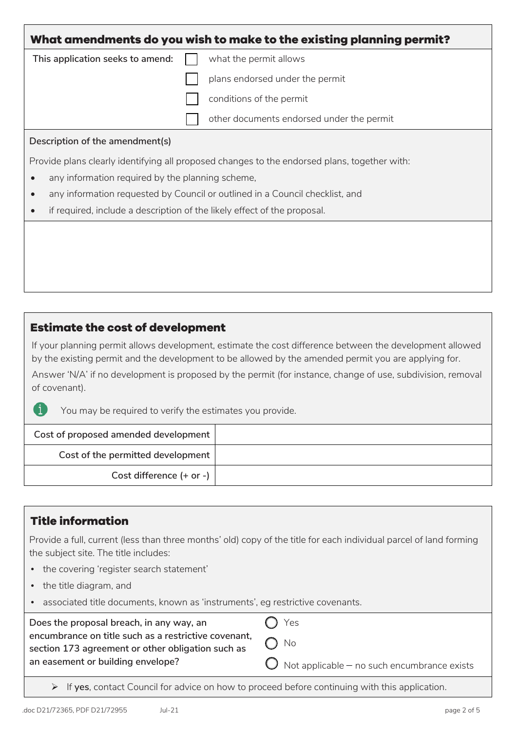|                                                                          | plans endorsed under the permit                                                              |  |  |  |
|--------------------------------------------------------------------------|----------------------------------------------------------------------------------------------|--|--|--|
|                                                                          | conditions of the permit                                                                     |  |  |  |
|                                                                          | other documents endorsed under the permit                                                    |  |  |  |
| Description of the amendment(s)                                          |                                                                                              |  |  |  |
|                                                                          | Provide plans clearly identifying all proposed changes to the endorsed plans, together with: |  |  |  |
| any information required by the planning scheme,                         |                                                                                              |  |  |  |
|                                                                          | any information requested by Council or outlined in a Council checklist, and                 |  |  |  |
| if required, include a description of the likely effect of the proposal. |                                                                                              |  |  |  |
|                                                                          |                                                                                              |  |  |  |
|                                                                          |                                                                                              |  |  |  |

### **Estimate the cost of development**

If your planning permit allows development, estimate the cost difference between the development allowed by the existing permit and the development to be allowed by the amended permit you are applying for.

Answer 'N/A' if no development is proposed by the permit (for instance, change of use, subdivision, removal of covenant).

You may be required to verify the estimates you provide.

| Cost of proposed amended development |  |
|--------------------------------------|--|
| Cost of the permitted development    |  |
| Cost difference (+ or -)             |  |

# **Title information**

j.

Provide a full, current (less than three months' old) copy of the title for each individual parcel of land forming the subject site. The title includes:

- the covering 'register search statement'
- the title diagram, and
- associated title documents, known as 'instruments', eg restrictive covenants.

| Does the proposal breach, in any way, an                                                                  | $\bigcap$ Yes                                          |
|-----------------------------------------------------------------------------------------------------------|--------------------------------------------------------|
| encumbrance on title such as a restrictive covenant,<br>section 173 agreement or other obligation such as | $\bigcap$ No                                           |
| an easement or building envelope?                                                                         | $\bigcirc$ Not applicable – no such encumbrance exists |

If **yes**, contact Council for advice on how to proceed before continuing with this application.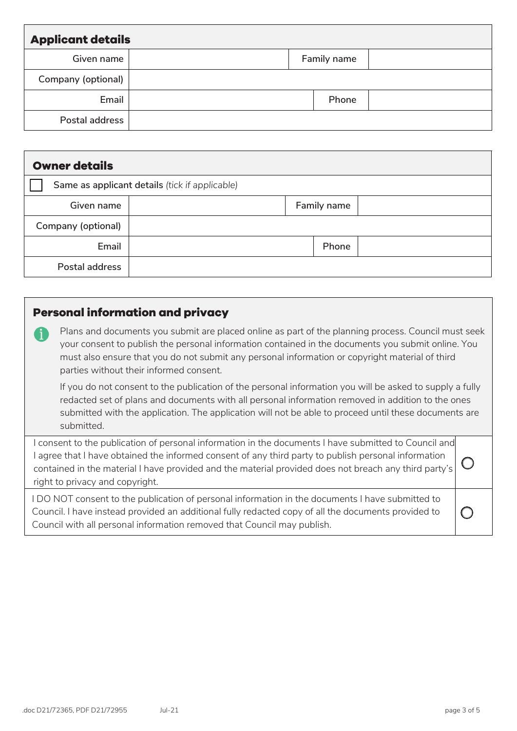| <b>Applicant details</b> |  |  |             |  |  |  |
|--------------------------|--|--|-------------|--|--|--|
| Given name               |  |  | Family name |  |  |  |
| Company (optional)       |  |  |             |  |  |  |
| Email                    |  |  | Phone       |  |  |  |
| Postal address           |  |  |             |  |  |  |

| <b>Owner details</b> |                                                |  |             |  |  |  |
|----------------------|------------------------------------------------|--|-------------|--|--|--|
|                      | Same as applicant details (tick if applicable) |  |             |  |  |  |
| Given name           |                                                |  | Family name |  |  |  |
| Company (optional)   |                                                |  |             |  |  |  |
| Email                |                                                |  | Phone       |  |  |  |
| Postal address       |                                                |  |             |  |  |  |

## **Personal information and privacy**

Plans and documents you submit are placed online as part of the planning process. Council must seek your consent to publish the personal information contained in the documents you submit online. You must also ensure that you do not submit any personal information or copyright material of third parties without their informed consent.

If you do not consent to the publication of the personal information you will be asked to supply a fully redacted set of plans and documents with all personal information removed in addition to the ones submitted with the application. The application will not be able to proceed until these documents are submitted.

I consent to the publication of personal information in the documents I have submitted to Council and I agree that I have obtained the informed consent of any third party to publish personal information contained in the material I have provided and the material provided does not breach any third party's right to privacy and copyright.  $\bigcirc$ 

I DO NOT consent to the publication of personal information in the documents I have submitted to Council. I have instead provided an additional fully redacted copy of all the documents provided to Council with all personal information removed that Council may publish.

 $\bigcirc$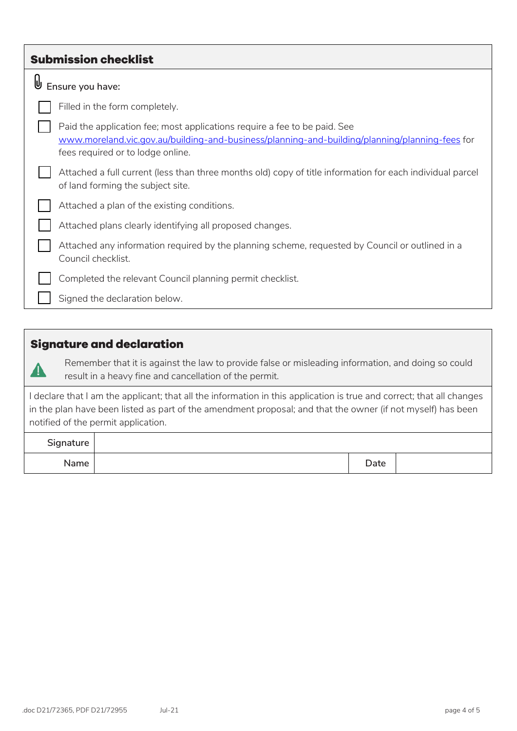| <b>Submission checklist</b>                                                                                                                                                                                      |
|------------------------------------------------------------------------------------------------------------------------------------------------------------------------------------------------------------------|
| ⋓<br>Ensure you have:                                                                                                                                                                                            |
| Filled in the form completely.                                                                                                                                                                                   |
| Paid the application fee; most applications require a fee to be paid. See<br>www.moreland.vic.gov.au/building-and-business/planning-and-building/planning/planning-fees for<br>fees required or to lodge online. |
| Attached a full current (less than three months old) copy of title information for each individual parcel<br>of land forming the subject site.                                                                   |
| Attached a plan of the existing conditions.                                                                                                                                                                      |
| Attached plans clearly identifying all proposed changes.                                                                                                                                                         |
| Attached any information required by the planning scheme, requested by Council or outlined in a<br>Council checklist.                                                                                            |
| Completed the relevant Council planning permit checklist.                                                                                                                                                        |
| Signed the declaration below.                                                                                                                                                                                    |
|                                                                                                                                                                                                                  |

### **Signature and declaration**

4

Remember that it is against the law to provide false or misleading information, and doing so could result in a heavy fine and cancellation of the permit.

I declare that I am the applicant; that all the information in this application is true and correct; that all changes in the plan have been listed as part of the amendment proposal; and that the owner (if not myself) has been notified of the permit application.

| Signature |      |  |
|-----------|------|--|
| Name      | Date |  |